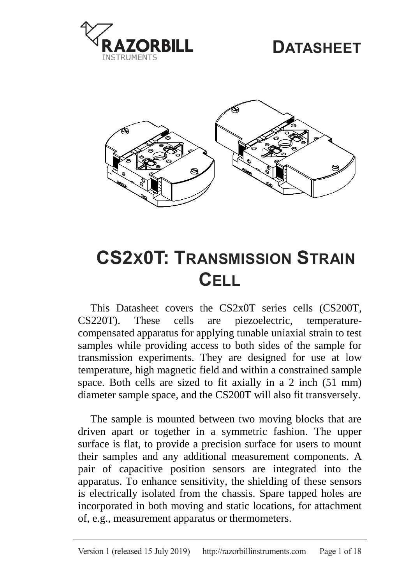

## **DATASHEET**



# <span id="page-0-1"></span>**CS2X0T: TRANSMISSION STRAIN CELL**

This Datasheet covers the CS2x0T series cells (CS200T, CS220T). These cells are piezoelectric, temperaturecompensated apparatus for applying tunable uniaxial strain to test samples while providing access to both sides of the sample for transmission experiments. They are designed for use at low temperature, high magnetic field and within a constrained sample space. Both cells are sized to fit axially in a 2 inch (51 mm) diameter sample space, and the CS200T will also fit transversely.

<span id="page-0-0"></span>The sample is mounted between two moving blocks that are driven apart or together in a symmetric fashion. The upper surface is flat, to provide a precision surface for users to mount their samples and any additional measurement components. A pair of capacitive position sensors are integrated into the apparatus. To enhance sensitivity, the shielding of these sensors is electrically isolated from the chassis. Spare tapped holes are incorporated in both moving and static locations, for attachment of, e.g., measurement apparatus or thermometers.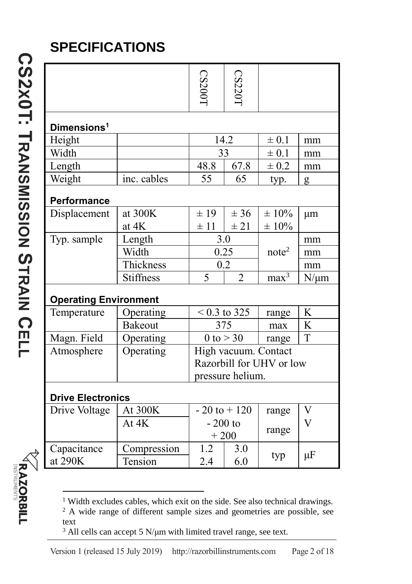## **SPECIFICATIONS**

**CS 2 X 0 T: T**

**[RANSMISSION](#page-0-1)**

<u>(၇</u>

**TRAIN** 

**C**

**ELL**

|                              |                  | CS2001                                       | <b>CS220</b>   |                   |                |  |  |  |
|------------------------------|------------------|----------------------------------------------|----------------|-------------------|----------------|--|--|--|
| Dimensions <sup>1</sup>      |                  |                                              |                |                   |                |  |  |  |
| Height                       |                  | 14.2                                         |                | $\pm 0.1$         | mm             |  |  |  |
| Width                        |                  | 33                                           |                | $\pm 0.1$         | mm             |  |  |  |
| Length                       |                  | 67.8<br>48.8                                 |                | $\pm 0.2$         | mm             |  |  |  |
| Weight                       | inc. cables      | 55                                           | 65             | typ.              | g              |  |  |  |
| Performance                  |                  |                                              |                |                   |                |  |  |  |
| Displacement                 | at $300K$        | $\pm$ 19                                     | ± 36           | $\pm 10\%$        | μm             |  |  |  |
|                              | at 4K            | $\pm$ 11                                     | ± 21           | $\pm$ 10%         |                |  |  |  |
| Typ. sample                  | Length           | 3.0                                          |                |                   | mm             |  |  |  |
|                              | Width            | 0.25                                         |                | note <sup>2</sup> | mm             |  |  |  |
|                              | Thickness        | 0.2                                          |                |                   | mm             |  |  |  |
|                              | <b>Stiffness</b> | 5                                            | $\overline{2}$ | max <sup>3</sup>  | $N/\mu m$      |  |  |  |
| <b>Operating Environment</b> |                  |                                              |                |                   |                |  |  |  |
| Temperature                  | Operating        |                                              | $< 0.3$ to 325 | range             | K              |  |  |  |
|                              | Bakeout          | 375                                          |                | max               | K              |  |  |  |
| Magn. Field                  | Operating        | $0$ to $>$ 30                                |                | range             | T              |  |  |  |
| Atmosphere                   | Operating        | High vacuum. Contact                         |                |                   |                |  |  |  |
|                              |                  | Razorbill for UHV or low<br>pressure helium. |                |                   |                |  |  |  |
|                              |                  |                                              |                |                   |                |  |  |  |
| <b>Drive Electronics</b>     |                  |                                              |                |                   |                |  |  |  |
| Drive Voltage                | At 300K          | $-20$ to $+120$<br>$-200$ to<br>$+200$       |                | range             | V              |  |  |  |
|                              | At $4K$          |                                              |                | range             | $\overline{V}$ |  |  |  |
| Capacitance                  | Compression      | 1.2                                          | 3.0            |                   |                |  |  |  |
| at 290K                      | Tension          | 2.4                                          | 6.0            | typ               | $\mu$ F        |  |  |  |

1

<sup>&</sup>lt;sup>1</sup> Width excludes cables, which exit on the side. See also technical drawings.

<sup>&</sup>lt;sup>2</sup> A wide range of different sample sizes and geometries are possible, see text

<sup>&</sup>lt;sup>3</sup> All cells can accept 5 N/μm with limited travel range, see text.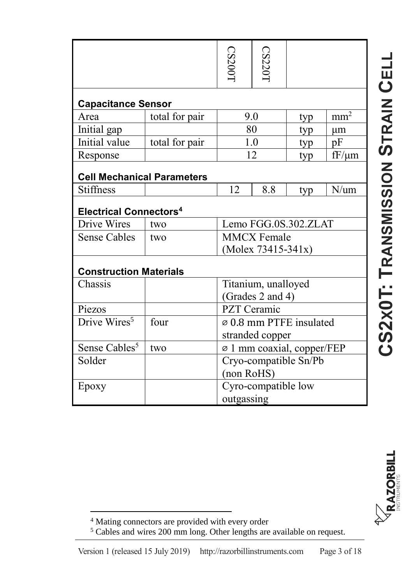|                                          |                | CS200T                              | CS2201 |     |                 |  |  |  |  |
|------------------------------------------|----------------|-------------------------------------|--------|-----|-----------------|--|--|--|--|
|                                          |                |                                     |        |     |                 |  |  |  |  |
| <b>Capacitance Sensor</b>                |                |                                     |        |     |                 |  |  |  |  |
| Area                                     | total for pair | 9.0                                 |        | typ | mm <sup>2</sup> |  |  |  |  |
| Initial gap                              |                | 80                                  |        | typ | μm              |  |  |  |  |
| Initial value                            | total for pair | 1.0                                 |        | typ | pF              |  |  |  |  |
| Response                                 |                | 12                                  |        | typ | $fF/\mu m$      |  |  |  |  |
| <b>Cell Mechanical Parameters</b>        |                |                                     |        |     |                 |  |  |  |  |
| <b>Stiffness</b>                         |                | 12                                  | 8.8    | typ | $N/\text{um}$   |  |  |  |  |
| <b>Electrical Connectors<sup>4</sup></b> |                |                                     |        |     |                 |  |  |  |  |
| Drive Wires                              | two            | Lemo FGG.0S.302.ZLAT                |        |     |                 |  |  |  |  |
| <b>Sense Cables</b>                      | two            | <b>MMCX</b> Female                  |        |     |                 |  |  |  |  |
|                                          |                | (Molex 73415-341x)                  |        |     |                 |  |  |  |  |
| <b>Construction Materials</b>            |                |                                     |        |     |                 |  |  |  |  |
| Chassis                                  |                | Titanium, unalloyed                 |        |     |                 |  |  |  |  |
|                                          |                | (Grades 2 and 4)                    |        |     |                 |  |  |  |  |
| Piezos                                   |                | PZT Ceramic                         |        |     |                 |  |  |  |  |
| Drive Wires <sup>5</sup>                 | four           | $\varnothing$ 0.8 mm PTFE insulated |        |     |                 |  |  |  |  |
|                                          |                | stranded copper                     |        |     |                 |  |  |  |  |
| Sense Cables <sup>5</sup>                | two            | ∅ 1 mm coaxial, copper/FEP          |        |     |                 |  |  |  |  |
| Solder                                   |                | Cryo-compatible Sn/Pb               |        |     |                 |  |  |  |  |
|                                          |                | (non RoHS)                          |        |     |                 |  |  |  |  |
| Epoxy                                    |                | Cyro-compatible low                 |        |     |                 |  |  |  |  |
|                                          |                | outgassing                          |        |     |                 |  |  |  |  |



<span id="page-2-0"></span> $\overline{\phantom{a}}$ <sup>4</sup> Mating connectors are provided with every order

<sup>&</sup>lt;sup>5</sup> Cables and wires 200 mm long. Other lengths are available on request.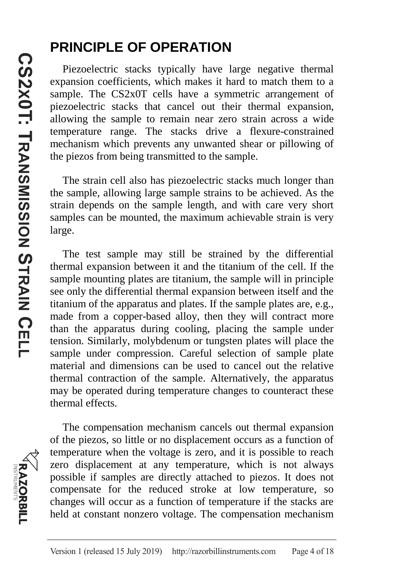#### **PRINCIPLE OF OPERATION**

Piezoelectric stacks typically have large negative thermal expansion coefficients, which makes it hard to match them to a sample. The CS2x0T cells have a symmetric arrangement of piezoelectric stacks that cancel out their thermal expansion, allowing the sample to remain near zero strain across a wide temperature range. The stacks drive a flexure-constrained mechanism which prevents any unwanted shear or pillowing of the piezos from being transmitted to the sample.

The strain cell also has piezoelectric stacks much longer than the sample, allowing large sample strains to be achieved. As the strain depends on the sample length, and with care very short samples can be mounted, the maximum achievable strain is very large.

The test sample may still be strained by the differential thermal expansion between it and the titanium of the cell. If the sample mounting plates are titanium, the sample will in principle see only the differential thermal expansion between itself and the titanium of the apparatus and plates. If the sample plates are, e.g., made from a copper-based alloy, then they will contract more than the apparatus during cooling, placing the sample under tension. Similarly, molybdenum or tungsten plates will place the sample under compression. Careful selection of sample plate material and dimensions can be used to cancel out the relative thermal contraction of the sample. Alternatively, the apparatus may be operated during temperature changes to counteract these thermal effects.

**RAZORBILL**<br>MRAZORBILL

The compensation mechanism cancels out thermal expansion of the piezos, so little or no displacement occurs as a function of temperature when the voltage is zero, and it is possible to reach zero displacement at any temperature, which is not always possible if samples are directly attached to piezos. It does not compensate for the reduced stroke at low temperature, so changes will occur as a function of temperature if the stacks are held at constant nonzero voltage. The compensation mechanism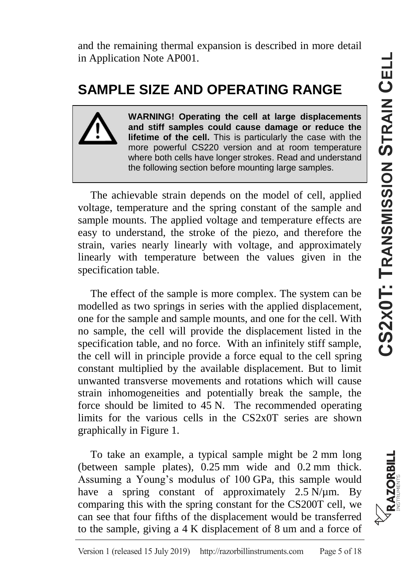and the remaining thermal expansion is described in more detail in Application Note AP001.

#### **SAMPLE SIZE AND OPERATING RANGE**

**WARNING! Operating the cell at large displacements and stiff samples could cause damage or reduce the lifetime of the cell.** This is particularly the case with the more powerful CS220 version and at room temperature where both cells have longer strokes. Read and understand the following section before mounting large samples.

The achievable strain depends on the model of cell, applied voltage, temperature and the spring constant of the sample and sample mounts. The applied voltage and temperature effects are easy to understand, the stroke of the piezo, and therefore the strain, varies nearly linearly with voltage, and approximately linearly with temperature between the values given in the specification table.

The effect of the sample is more complex. The system can be modelled as two springs in series with the applied displacement, one for the sample and sample mounts, and one for the cell. With no sample, the cell will provide the displacement listed in the specification table, and no force. With an infinitely stiff sample, the cell will in principle provide a force equal to the cell spring constant multiplied by the available displacement. But to limit unwanted transverse movements and rotations which will cause strain inhomogeneities and potentially break the sample, the force should be limited to 45 N. The recommended operating limits for the various cells in the CS2x0T series are shown graphically in [Figure 1.](#page-5-0)

To take an example, a typical sample might be 2 mm long (between sample plates), 0.25 mm wide and 0.2 mm thick. Assuming a Young's modulus of 100 GPa, this sample would have a spring constant of approximately  $2.5$  N/ $\mu$ m. By comparing this with the spring constant for the CS200T cell, we can see that four fifths of the displacement would be transferred to the sample, giving a 4 K displacement of 8 um and a force of

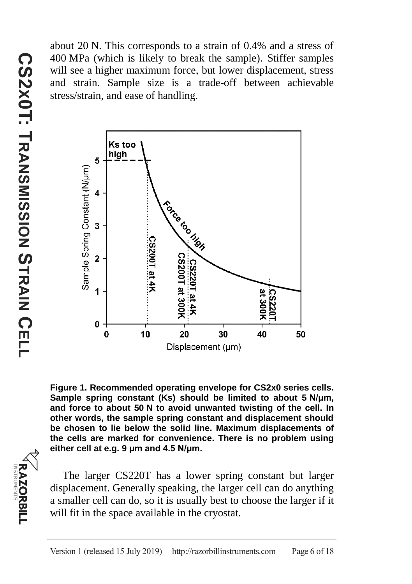about 20 N. This corresponds to a strain of 0.4% and a stress of 400 MPa (which is likely to break the sample). Stiffer samples will see a higher maximum force, but lower displacement, stress and strain. Sample size is a trade-off between achievable stress/strain, and ease of handling.



<span id="page-5-0"></span>**Figure 1. Recommended operating envelope for CS2x0 series cells. Sample spring constant (Ks) should be limited to about 5 N/μm, and force to about 50 N to avoid unwanted twisting of the cell. In other words, the sample spring constant and displacement should be chosen to lie below the solid line. Maximum displacements of the cells are marked for convenience. There is no problem using either cell at e.g. 9 μm and 4.5 N/μm.**

The larger CS220T has a lower spring constant but larger displacement. Generally speaking, the larger cell can do anything a smaller cell can do, so it is usually best to choose the larger if it will fit in the space available in the cryostat.

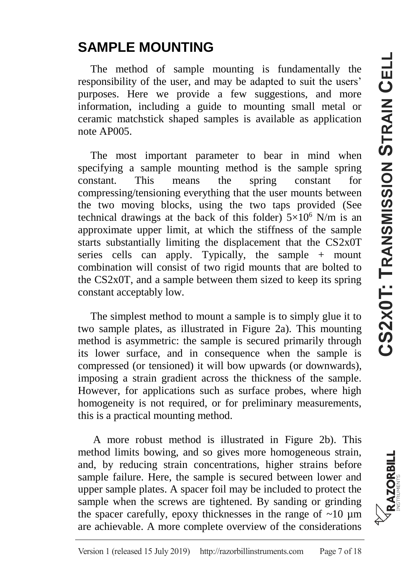#### **SAMPLE MOUNTING**

The method of sample mounting is fundamentally the responsibility of the user, and may be adapted to suit the users' purposes. Here we provide a few suggestions, and more information, including a guide to mounting small metal or ceramic matchstick shaped samples is available as application note AP005.

The most important parameter to bear in mind when specifying a sample mounting method is the sample spring constant. This means the spring constant for compressing/tensioning everything that the user mounts between the two moving blocks, using the two taps provided (See technical drawings at the back of this folder)  $5\times10^6$  N/m is an approximate upper limit, at which the stiffness of the sample starts substantially limiting the displacement that the CS2x0T series cells can apply. Typically, the sample  $+$  mount combination will consist of two rigid mounts that are bolted to the CS2x0T, and a sample between them sized to keep its spring constant acceptably low.

The simplest method to mount a sample is to simply glue it to two sample plates, as illustrated in [Figure 2a](#page-7-0)). This mounting method is asymmetric: the sample is secured primarily through its lower surface, and in consequence when the sample is compressed (or tensioned) it will bow upwards (or downwards), imposing a strain gradient across the thickness of the sample. However, for applications such as surface probes, where high homogeneity is not required, or for preliminary measurements, this is a practical mounting method.

A more robust method is illustrated in [Figure 2b](#page-7-0)). This method limits bowing, and so gives more homogeneous strain, and, by reducing strain concentrations, higher strains before sample failure. Here, the sample is secured between lower and upper sample plates. A spacer foil may be included to protect the sample when the screws are tightened. By sanding or grinding the spacer carefully, epoxy thicknesses in the range of  $\sim 10 \mu m$ are achievable. A more complete overview of the considerations

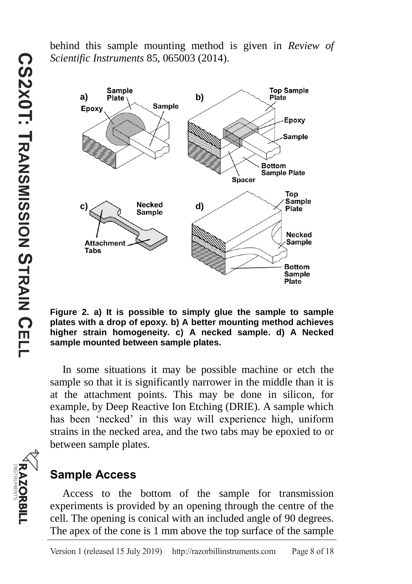behind this sample mounting method is given in *Review of Scientific Instruments* 85, 065003 (2014).

a) Sample<br>
Plate **b**) **b**<br> **b**<br> **b**<br> **b**<br> **b Top Sample** Plate Epoxy Epoxy Sample **Bottom Sample Plate** Spacer Top Sample **c**) **a d**) **d**<br>Sample **d**) **Plate Necked** Sample Attachmen Tabs **Bottom** Sample **Plate** 

<span id="page-7-0"></span>**Figure 2. a) It is possible to simply glue the sample to sample plates with a drop of epoxy. b) A better mounting method achieves higher strain homogeneity. c) A necked sample. d) A Necked sample mounted between sample plates.**

In some situations it may be possible machine or etch the sample so that it is significantly narrower in the middle than it is at the attachment points. This may be done in silicon, for example, by Deep Reactive Ion Etching (DRIE). A sample which has been 'necked' in this way will experience high, uniform strains in the necked area, and the two tabs may be epoxied to or between sample plates.

#### **Sample Access**

Access to the bottom of the sample for transmission experiments is provided by an opening through the centre of the cell. The opening is conical with an included angle of 90 degrees. The apex of the cone is 1 mm above the top surface of the sample

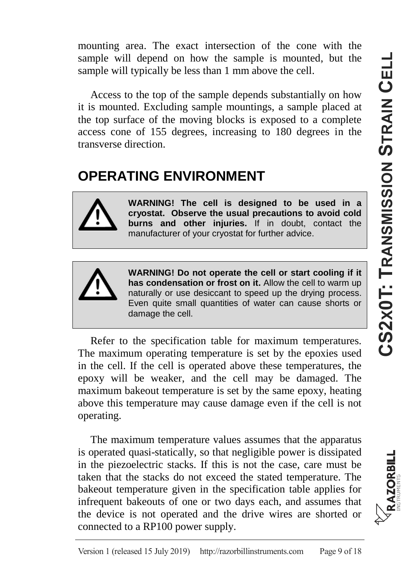mounting area. The exact intersection of the cone with the sample will depend on how the sample is mounted, but the sample will typically be less than 1 mm above the cell.

Access to the top of the sample depends substantially on how it is mounted. Excluding sample mountings, a sample placed at the top surface of the moving blocks is exposed to a complete access cone of 155 degrees, increasing to 180 degrees in the transverse direction.

#### **OPERATING ENVIRONMENT**



**WARNING! The cell is designed to be used in a cryostat. Observe the usual precautions to avoid cold burns and other injuries.** If in doubt, contact the manufacturer of your cryostat for further advice.



**WARNING! Do not operate the cell or start cooling if it has condensation or frost on it.** Allow the cell to warm up naturally or use desiccant to speed up the drying process. Even quite small quantities of water can cause shorts or damage the cell.

Refer to the specification table for maximum temperatures. The maximum operating temperature is set by the epoxies used in the cell. If the cell is operated above these temperatures, the epoxy will be weaker, and the cell may be damaged. The maximum bakeout temperature is set by the same epoxy, heating above this temperature may cause damage even if the cell is not operating.

The maximum temperature values assumes that the apparatus is operated quasi-statically, so that negligible power is dissipated in the piezoelectric stacks. If this is not the case, care must be taken that the stacks do not exceed the stated temperature. The bakeout temperature given in the specification table applies for infrequent bakeouts of one or two days each, and assumes that the device is not operated and the drive wires are shorted or connected to a RP100 power supply.

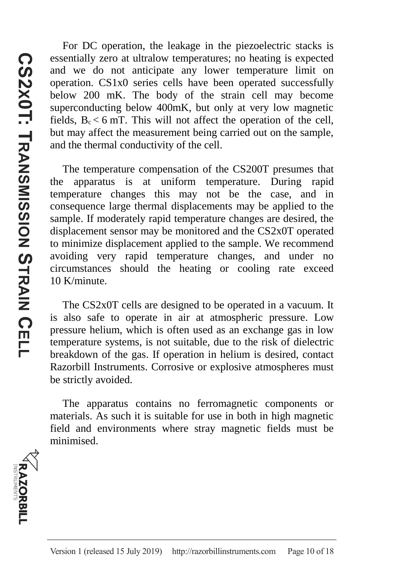For DC operation, the leakage in the piezoelectric stacks is essentially zero at ultralow temperatures; no heating is expected and we do not anticipate any lower temperature limit on operation. CS1x0 series cells have been operated successfully below 200 mK. The body of the strain cell may become superconducting below 400mK, but only at very low magnetic fields,  $B_c < 6$  mT. This will not affect the operation of the cell, but may affect the measurement being carried out on the sample, and the thermal conductivity of the cell.

The temperature compensation of the CS200T presumes that the apparatus is at uniform temperature. During rapid temperature changes this may not be the case, and in consequence large thermal displacements may be applied to the sample. If moderately rapid temperature changes are desired, the displacement sensor may be monitored and the CS2x0T operated to minimize displacement applied to the sample. We recommend avoiding very rapid temperature changes, and under no circumstances should the heating or cooling rate exceed 10 K/minute.

The CS2x0T cells are designed to be operated in a vacuum. It is also safe to operate in air at atmospheric pressure. Low pressure helium, which is often used as an exchange gas in low temperature systems, is not suitable, due to the risk of dielectric breakdown of the gas. If operation in helium is desired, contact Razorbill Instruments. Corrosive or explosive atmospheres must be strictly avoided.

The apparatus contains no ferromagnetic components or materials. As such it is suitable for use in both in high magnetic field and environments where stray magnetic fields must be minimised.

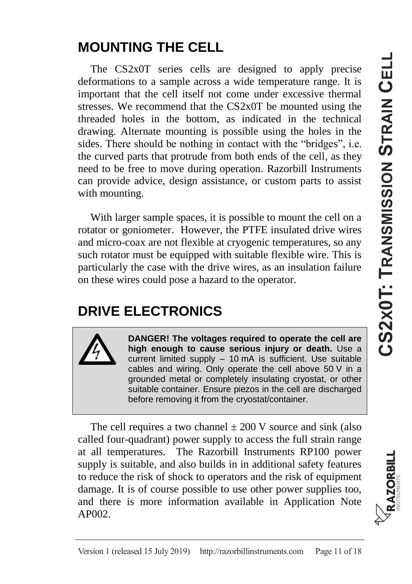#### **MOUNTING THE CELL**

The CS2x0T series cells are designed to apply precise deformations to a sample across a wide temperature range. It is important that the cell itself not come under excessive thermal stresses. We recommend that the CS2x0T be mounted using the threaded holes in the bottom, as indicated in the technical drawing. Alternate mounting is possible using the holes in the sides. There should be nothing in contact with the "bridges", i.e. the curved parts that protrude from both ends of the cell, as they need to be free to move during operation. Razorbill Instruments can provide advice, design assistance, or custom parts to assist with mounting.

With larger sample spaces, it is possible to mount the cell on a rotator or goniometer. However, the PTFE insulated drive wires and micro-coax are not flexible at cryogenic temperatures, so any such rotator must be equipped with suitable flexible wire. This is particularly the case with the drive wires, as an insulation failure on these wires could pose a hazard to the operator.

### **DRIVE ELECTRONICS**



**DANGER! The voltages required to operate the cell are high enough to cause serious injury or death.** Use a current limited supply – 10 mA is sufficient. Use suitable cables and wiring. Only operate the cell above 50 V in a grounded metal or completely insulating cryostat, or other suitable container. Ensure piezos in the cell are discharged before removing it from the cryostat/container.

The cell requires a two channel  $\pm 200$  V source and sink (also called four-quadrant) power supply to access the full strain range at all temperatures. The Razorbill Instruments RP100 power supply is suitable, and also builds in in additional safety features to reduce the risk of shock to operators and the risk of equipment damage. It is of course possible to use other power supplies too, and there is more information available in Application Note AP002.

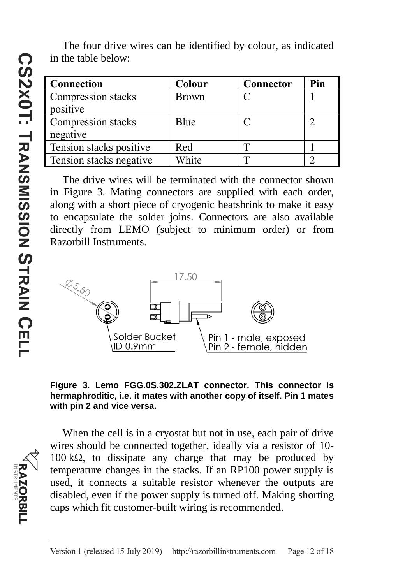The four drive wires can be identified by colour, as indicated in the table below:

| Connection              | Colour       | Connector | Pin |
|-------------------------|--------------|-----------|-----|
| Compression stacks      | <b>Brown</b> |           |     |
| positive                |              |           |     |
| Compression stacks      | Blue         |           |     |
| negative                |              |           |     |
| Tension stacks positive | Red          |           |     |
| Tension stacks negative | White        |           |     |

The drive wires will be terminated with the connector shown in [Figure 3.](#page-11-0) Mating connectors are supplied with each order, along with a short piece of cryogenic heatshrink to make it easy to encapsulate the solder joins. Connectors are also available directly from LEMO (subject to minimum order) or from Razorbill Instruments.



<span id="page-11-0"></span>

When the cell is in a cryostat but not in use, each pair of drive wires should be connected together, ideally via a resistor of 10- 100 kΩ, to dissipate any charge that may be produced by temperature changes in the stacks. If an RP100 power supply is used, it connects a suitable resistor whenever the outputs are disabled, even if the power supply is turned off. Making shorting caps which fit customer-built wiring is recommended.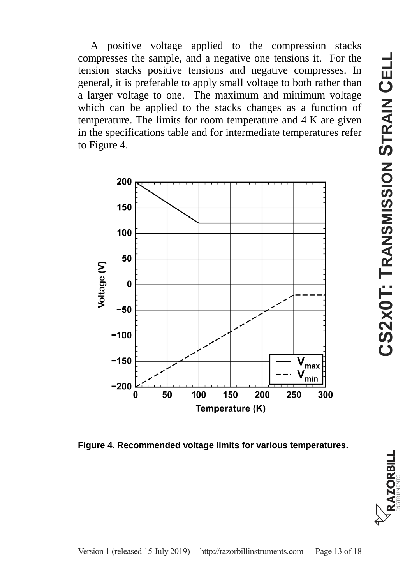A positive voltage applied to the compression stacks compresses the sample, and a negative one tensions it. For the tension stacks positive tensions and negative compresses. In general, it is preferable to apply small voltage to both rather than a larger voltage to one. The maximum and minimum voltage which can be applied to the stacks changes as a function of temperature. The limits for room temperature and 4 K are given in the specifications table and for intermediate temperatures refer t[o Figure 4.](#page-12-0)



<span id="page-12-0"></span>**Figure 4. Recommended voltage limits for various temperatures.**

RAZORBILI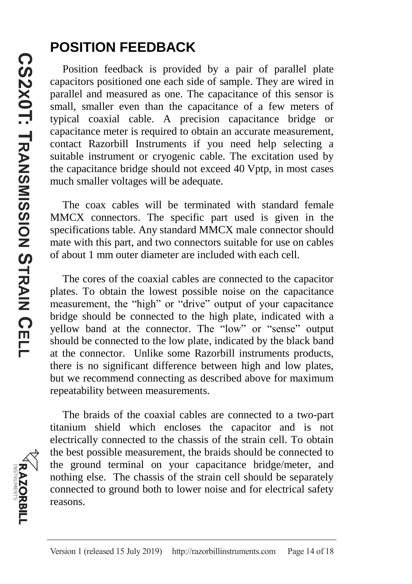#### **POSITION FEEDBACK**

Position feedback is provided by a pair of parallel plate capacitors positioned one each side of sample. They are wired in parallel and measured as one. The capacitance of this sensor is small, smaller even than the capacitance of a few meters of typical coaxial cable. A precision capacitance bridge or capacitance meter is required to obtain an accurate measurement, contact Razorbill Instruments if you need help selecting a suitable instrument or cryogenic cable. The excitation used by the capacitance bridge should not exceed 40 Vptp, in most cases much smaller voltages will be adequate.

The coax cables will be terminated with standard female MMCX connectors. The specific part used is given in the specifications table. Any standard MMCX male connector should mate with this part, and two connectors suitable for use on cables of about 1 mm outer diameter are included with each cell.

The cores of the coaxial cables are connected to the capacitor plates. To obtain the lowest possible noise on the capacitance measurement, the "high" or "drive" output of your capacitance bridge should be connected to the high plate, indicated with a yellow band at the connector. The "low" or "sense" output should be connected to the low plate, indicated by the black band at the connector. Unlike some Razorbill instruments products, there is no significant difference between high and low plates, but we recommend connecting as described above for maximum repeatability between measurements.

The braids of the coaxial cables are connected to a two-part titanium shield which encloses the capacitor and is not electrically connected to the chassis of the strain cell. To obtain the best possible measurement, the braids should be connected to the ground terminal on your capacitance bridge/meter, and nothing else. The chassis of the strain cell should be separately connected to ground both to lower noise and for electrical safety reasons.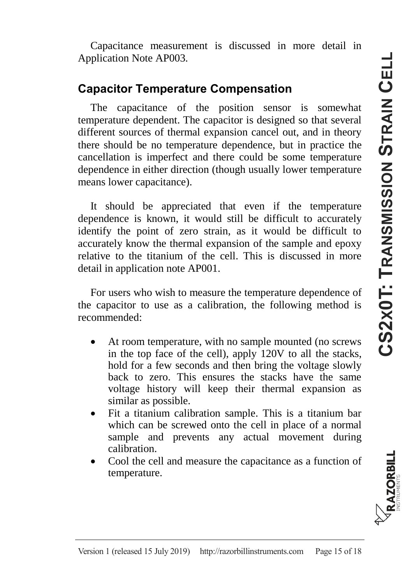Capacitance measurement is discussed in more detail in Application Note AP003.

#### **Capacitor Temperature Compensation**

The capacitance of the position sensor is somewhat temperature dependent. The capacitor is designed so that several different sources of thermal expansion cancel out, and in theory there should be no temperature dependence, but in practice the cancellation is imperfect and there could be some temperature dependence in either direction (though usually lower temperature means lower capacitance).

It should be appreciated that even if the temperature dependence is known, it would still be difficult to accurately identify the point of zero strain, as it would be difficult to accurately know the thermal expansion of the sample and epoxy relative to the titanium of the cell. This is discussed in more detail in application note AP001.

For users who wish to measure the temperature dependence of the capacitor to use as a calibration, the following method is recommended:

- At room temperature, with no sample mounted (no screws in the top face of the cell), apply 120V to all the stacks, hold for a few seconds and then bring the voltage slowly back to zero. This ensures the stacks have the same voltage history will keep their thermal expansion as similar as possible.
- Fit a titanium calibration sample. This is a titanium bar which can be screwed onto the cell in place of a normal sample and prevents any actual movement during calibration.
- Cool the cell and measure the capacitance as a function of temperature.

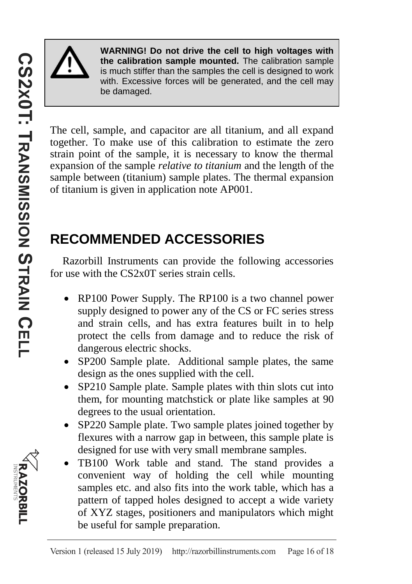

**WARNING! Do not drive the cell to high voltages with the calibration sample mounted.** The calibration sample is much stiffer than the samples the cell is designed to work with. Excessive forces will be generated, and the cell may be damaged.

The cell, sample, and capacitor are all titanium, and all expand together. To make use of this calibration to estimate the zero strain point of the sample, it is necessary to know the thermal expansion of the sample *relative to titanium* and the length of the sample between (titanium) sample plates. The thermal expansion of titanium is given in application note AP001.

## **RECOMMENDED ACCESSORIES**

Razorbill Instruments can provide the following accessories for use with the CS2x0T series strain cells.

- RP100 Power Supply. The RP100 is a two channel power supply designed to power any of the CS or FC series stress and strain cells, and has extra features built in to help protect the cells from damage and to reduce the risk of dangerous electric shocks.
- SP200 Sample plate. Additional sample plates, the same design as the ones supplied with the cell.
- SP210 Sample plate. Sample plates with thin slots cut into them, for mounting matchstick or plate like samples at 90 degrees to the usual orientation.
- SP220 Sample plate. Two sample plates joined together by flexures with a narrow gap in between, this sample plate is designed for use with very small membrane samples.
- TB100 Work table and stand. The stand provides a convenient way of holding the cell while mounting samples etc. and also fits into the work table, which has a pattern of tapped holes designed to accept a wide variety of XYZ stages, positioners and manipulators which might be useful for sample preparation.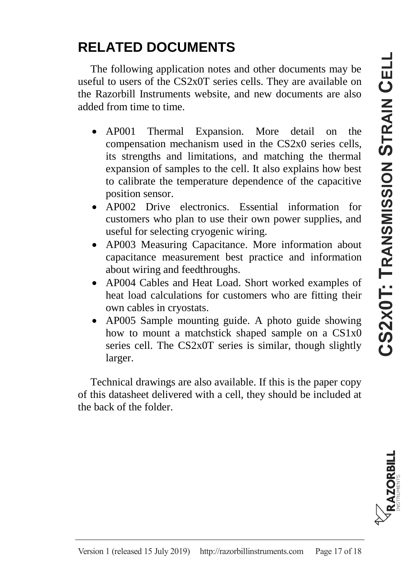## **RELATED DOCUMENTS**

The following application notes and other documents may be useful to users of the CS2x0T series cells. They are available on the Razorbill Instruments website, and new documents are also added from time to time.

- AP001 Thermal Expansion. More detail on the compensation mechanism used in the CS2x0 series cells, its strengths and limitations, and matching the thermal expansion of samples to the cell. It also explains how best to calibrate the temperature dependence of the capacitive position sensor.
- AP002 Drive electronics. Essential information for customers who plan to use their own power supplies, and useful for selecting cryogenic wiring.
- AP003 Measuring Capacitance. More information about capacitance measurement best practice and information about wiring and feedthroughs.
- AP004 Cables and Heat Load. Short worked examples of heat load calculations for customers who are fitting their own cables in cryostats.
- AP005 Sample mounting guide. A photo guide showing how to mount a matchstick shaped sample on a CS1x0 series cell. The CS2x0T series is similar, though slightly larger.

Technical drawings are also available. If this is the paper copy of this datasheet delivered with a cell, they should be included at the back of the folder.